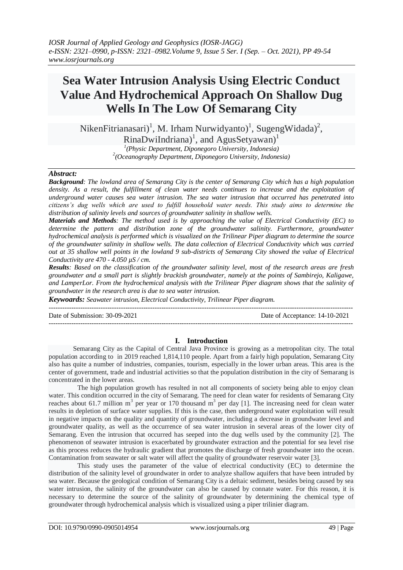# **Sea Water Intrusion Analysis Using Electric Conduct Value And Hydrochemical Approach On Shallow Dug Wells In The Low Of Semarang City**

NikenFitrianasari)<sup>1</sup>, M. Irham Nurwidyanto)<sup>1</sup>, SugengWidada)<sup>2</sup>,  $R$ inaDwiIndriana)<sup>1</sup>, and AgusSetyawan)<sup>1</sup> *1 (Physic Department, Diponegoro University, Indonesia)* 

*2 (Oceanography Department, Diponegoro University, Indonesia)*

## *Abstract:*

*Background: The lowland area of Semarang City is the center of Semarang City which has a high population density. As a result, the fulfillment of clean water needs continues to increase and the exploitation of underground water causes sea water intrusion. The sea water intrusion that occurred has penetrated into citizens's dug wells which are used to fulfill household water needs. This study aims to determine the distribution of salinity levels and sources of groundwater salinity in shallow wells.* 

*Materials and Methods: The method used is by approaching the value of Electrical Conductivity (EC) to determine the pattern and distribution zone of the groundwater salinity. Furthermore, groundwater hydrochemical analysis is performed which is visualized on the Trilinear Piper diagram to determine the source of the groundwater salinity in shallow wells. The data collection of Electrical Conductivity which was carried out at 35 shallow well points in the lowland 9 sub-districts of Semarang City showed the value of Electrical Conductivity are 470 - 4.050 µS / cm.* 

*Results: Based on the classification of the groundwater salinity level, most of the research areas are fresh groundwater and a small part is slightly brackish groundwater, namely at the points of Sambirejo, Kaligawe, and LamperLor. From the hydrochemical analysis with the Trilinear Piper diagram shows that the salinity of groundwater in the research area is due to sea water intrusion.*

*Keywoards: Seawater intrusion, Electrical Conductivity, Trilinear Piper diagram.*

---------------------------------------------------------------------------------------------------------------------------------------

Date of Submission: 30-09-2021 Date of Acceptance: 14-10-2021

---------------------------------------------------------------------------------------------------------------------------------------

## **I. Introduction**

Semarang City as the Capital of Central Java Province is growing as a metropolitan city. The total population according to in 2019 reached 1,814,110 people. Apart from a fairly high population, Semarang City also has quite a number of industries, companies, tourism, especially in the lower urban areas. This area is the center of government, trade and industrial activities so that the population distribution in the city of Semarang is concentrated in the lower areas.

The high population growth has resulted in not all components of society being able to enjoy clean water. This condition occurred in the city of Semarang. The need for clean water for residents of Semarang City reaches about 61.7 million  $m<sup>3</sup>$  per year or 170 thousand  $m<sup>3</sup>$  per day [1]. The increasing need for clean water results in depletion of surface water supplies. If this is the case, then underground water exploitation will result in negative impacts on the quality and quantity of groundwater, including a decrease in groundwater level and groundwater quality, as well as the occurrence of sea water intrusion in several areas of the lower city of Semarang. Even the intrusion that occurred has seeped into the dug wells used by the community [2]. The phenomenon of seawater intrusion is exacerbated by groundwater extraction and the potential for sea level rise as this process reduces the hydraulic gradient that promotes the discharge of fresh groundwater into the ocean. Contamination from seawater or salt water will affect the quality of groundwater reservoir water [3].

This study uses the parameter of the value of electrical conductivity (EC) to determine the distribution of the salinity level of groundwater in order to analyze shallow aquifers that have been intruded by sea water. Because the geological condition of Semarang City is a deltaic sediment, besides being caused by sea water intrusion, the salinity of the groundwater can also be caused by connate water. For this reason, it is necessary to determine the source of the salinity of groundwater by determining the chemical type of groundwater through hydrochemical analysis which is visualized using a piper trilinier diagram.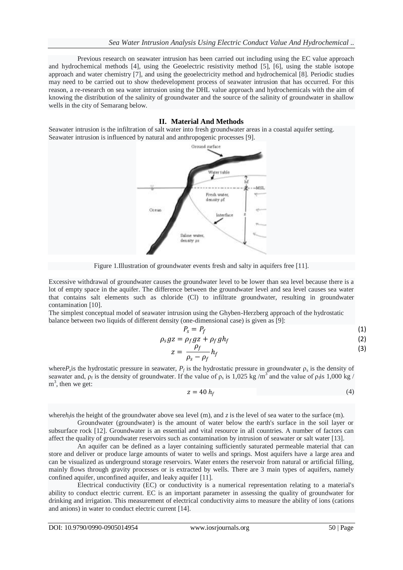Previous research on seawater intrusion has been carried out including using the EC value approach and hydrochemical methods [4], using the Geoelectric resistivity method [5], [6], using the stable isotope approach and water chemistry [7], and using the geoelectricity method and hydrochemical [8]. Periodic studies may need to be carried out to show thedevelopment process of seawater intrusion that has occurred. For this reason, a re-research on sea water intrusion using the DHL value approach and hydrochemicals with the aim of knowing the distribution of the salinity of groundwater and the source of the salinity of groundwater in shallow wells in the city of Semarang below.

### **II. Material And Methods**

Seawater intrusion is the infiltration of salt water into fresh groundwater areas in a coastal aquifer setting. Seawater intrusion is influenced by natural and anthropogenic processes [9].



Figure 1.Illustration of groundwater events fresh and salty in aquifers free [11].

Excessive withdrawal of groundwater causes the groundwater level to be lower than sea level because there is a lot of empty space in the aquifer. The difference between the groundwater level and sea level causes sea water that contains salt elements such as chloride (Cl) to infiltrate groundwater, resulting in groundwater contamination [10].

The simplest conceptual model of seawater intrusion using the Ghyben-Herzberg approach of the hydrostatic balance between two liquids of different density (one-dimensional case) is given as [9]:

$$
P_s = P_f \tag{1}
$$

$$
\rho_s gz = \rho_f gz + \rho_f gh_f \tag{2}
$$

$$
z = \frac{\rho_f}{\rho_s - \rho_f} h_f \tag{3}
$$

where $P_s$  is the hydrostatic pressure in seawater,  $P_f$  is the hydrostatic pressure in groundwater  $\rho_s$  is the density of seawater and,  $\rho_f$  is the density of groundwater. If the value of  $\rho_s$  is 1,025 kg/m<sup>3</sup> and the value of  $\rho_f$  is 1,000 kg/  $m<sup>3</sup>$ , then we get:

$$
z = 40 h_f \tag{4}
$$

where $h_j$  is the height of the groundwater above sea level (m), and  $z$  is the level of sea water to the surface (m).

Groundwater (groundwater) is the amount of water below the earth's surface in the soil layer or subsurface rock [12]. Groundwater is an essential and vital resource in all countries. A number of factors can affect the quality of groundwater reservoirs such as contamination by intrusion of seawater or salt water [13].

An aquifer can be defined as a layer containing sufficiently saturated permeable material that can store and deliver or produce large amounts of water to wells and springs. Most aquifers have a large area and can be visualized as underground storage reservoirs. Water enters the reservoir from natural or artificial filling, mainly flows through gravity processes or is extracted by wells. There are 3 main types of aquifers, namely confined aquifer, unconfined aquifer, and leaky aquifer [11].

Electrical conductivity (EC) or conductivity is a numerical representation relating to a material's ability to conduct electric current. EC is an important parameter in assessing the quality of groundwater for drinking and irrigation. This measurement of electrical conductivity aims to measure the ability of ions (cations and anions) in water to conduct electric current [14].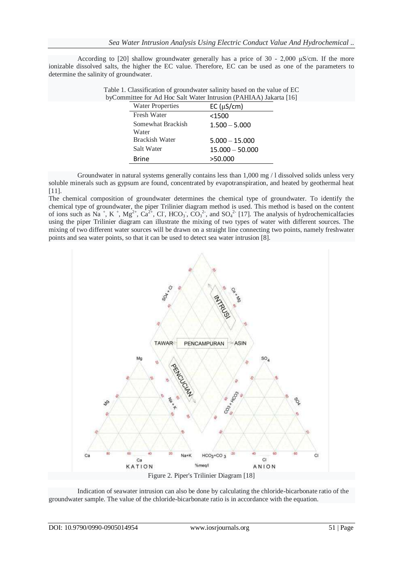According to [20] shallow groundwater generally has a price of 30 - 2,000 μS/cm. If the more ionizable dissolved salts, the higher the EC value. Therefore, EC can be used as one of the parameters to determine the salinity of groundwater.

| inittee for Ad Hoc Sait water intrusion (PAHIAA) Jakar |                         |                   |
|--------------------------------------------------------|-------------------------|-------------------|
|                                                        | <b>Water Properties</b> | EC (µS/cm)        |
|                                                        | <b>Fresh Water</b>      | $<$ 1500          |
|                                                        | Somewhat Brackish       | $1.500 - 5.000$   |
|                                                        | Water                   |                   |
|                                                        | Brackish Water          | $5.000 - 15.000$  |
|                                                        | Salt Water              | $15.000 - 50.000$ |
|                                                        | <b>Brine</b>            | >50.000           |

| Table 1. Classification of groundwater salinity based on the value of EC |
|--------------------------------------------------------------------------|
| byCommittee for Ad Hoc Salt Water Intrusion (PAHIAA) Jakarta [16]        |

Groundwater in natural systems generally contains less than 1,000 mg / 1 dissolved solids unless very soluble minerals such as gypsum are found, concentrated by evapotranspiration, and heated by geothermal heat [11].

The chemical composition of groundwater determines the chemical type of groundwater. To identify the chemical type of groundwater, the piper Trilinier diagram method is used. This method is based on the content of ions such as Na<sup>+</sup>, K<sup>+</sup>, Mg<sup>2+</sup>, Ca<sup>2+</sup>, Cl<sup>-</sup>, HCO<sub>3</sub><sup>-</sup>, CO<sub>3</sub><sup>2-</sup>, and SO<sub>4</sub><sup>2-</sup> [17]. The analysis of hydrochemicalfacies using the piper Trilinier diagram can illustrate the mixing of two types of water with different sources. The mixing of two different water sources will be drawn on a straight line connecting two points, namely freshwater points and sea water points, so that it can be used to detect sea water intrusion [8].



Indication of seawater intrusion can also be done by calculating the chloride-bicarbonate ratio of the groundwater sample. The value of the chloride-bicarbonate ratio is in accordance with the equation.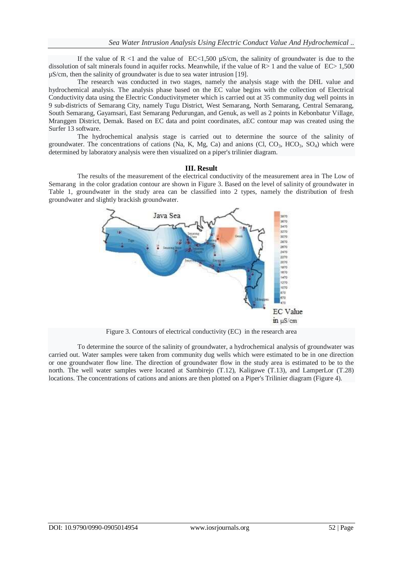If the value of  $R$  <1 and the value of  $EC<1,500$   $\mu$ S/cm, the salinity of groundwater is due to the dissolution of salt minerals found in aquifer rocks. Meanwhile, if the value of  $R>1$  and the value of  $EC>1.500$ µS/cm, then the salinity of groundwater is due to sea water intrusion [19].

The research was conducted in two stages, namely the analysis stage with the DHL value and hydrochemical analysis. The analysis phase based on the EC value begins with the collection of Electrical Conductivity data using the Electric Conductivitymeter which is carried out at 35 community dug well points in 9 sub-districts of Semarang City, namely Tugu District, West Semarang, North Semarang, Central Semarang, South Semarang, Gayamsari, East Semarang Pedurungan, and Genuk, as well as 2 points in Kebonbatur Village, Mranggen District, Demak. Based on EC data and point coordinates, aEC contour map was created using the Surfer 13 software.

The hydrochemical analysis stage is carried out to determine the source of the salinity of groundwater. The concentrations of cations (Na, K, Mg, Ca) and anions (Cl,  $CO<sub>3</sub>$ ,  $HCO<sub>3</sub>$ ,  $SO<sub>4</sub>$ ) which were determined by laboratory analysis were then visualized on a piper's trilinier diagram.

#### **III. Result**

The results of the measurement of the electrical conductivity of the measurement area in The Low of Semarang in the color gradation contour are shown in Figure 3. Based on the level of salinity of groundwater in Table 1, groundwater in the study area can be classified into 2 types, namely the distribution of fresh groundwater and slightly brackish groundwater.



Figure 3. Contours of electrical conductivity (EC) in the research area

To determine the source of the salinity of groundwater, a hydrochemical analysis of groundwater was carried out. Water samples were taken from community dug wells which were estimated to be in one direction or one groundwater flow line. The direction of groundwater flow in the study area is estimated to be to the north. The well water samples were located at Sambirejo (T.12), Kaligawe (T.13), and LamperLor (T.28) locations. The concentrations of cations and anions are then plotted on a Piper's Trilinier diagram (Figure 4).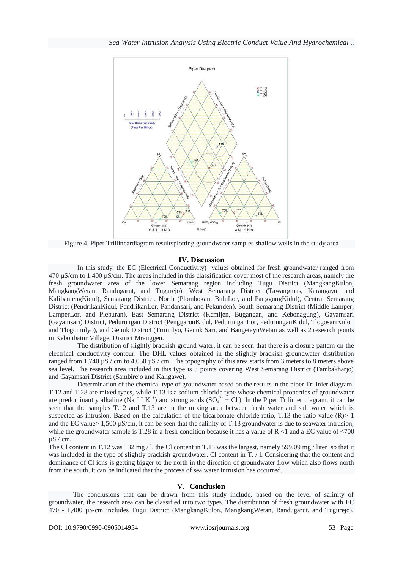

Figure 4. Piper Trillineardiagram resultsplotting groundwater samples shallow wells in the study area

## **IV. Discussion**

In this study, the EC (Electrical Conductivity) values obtained for fresh groundwater ranged from 470 µS/cm to 1,400 µS/cm. The areas included in this classification cover most of the research areas, namely the fresh groundwater area of the lower Semarang region including Tugu District (MangkangKulon, MangkangWetan, Randugarut, and Tugurejo), West Semarang District (Tawangmas, Karangayu, and KalibantengKidul), Semarang District. North (Plombokan, BuluLor, and PanggungKidul), Central Semarang District (PendrikanKidul, PendrikanLor, Pandansari, and Pekunden), South Semarang District (Middle Lamper, LamperLor, and Pleburan), East Semarang District (Kemijen, Bugangan, and Kebonagung), Gayamsari (Gayamsari) District, Pedurungan District (PenggaronKidul, PedurunganLor, PedurunganKidul, TlogosariKulon and Tlogomulyo), and Genuk District (Trimulyo, Genuk Sari, and BangetayuWetan as well as 2 research points in Kebonbatur Village, District Mranggen.

The distribution of slightly brackish ground water, it can be seen that there is a closure pattern on the electrical conductivity contour. The DHL values obtained in the slightly brackish groundwater distribution ranged from 1,740 µS / cm to 4,050 µS / cm. The topography of this area starts from 3 meters to 8 meters above sea level. The research area included in this type is 3 points covering West Semarang District (Tambakharjo) and Gayamsari District (Sambirejo and Kaligawe).

Determination of the chemical type of groundwater based on the results in the piper Trilinier diagram. T.12 and T.28 are mixed types, while T.13 is a sodium chloride type whose chemical properties of groundwater are predominantly alkaline (Na<sup>++</sup> K<sup>+</sup>) and strong acids (SO<sub>4</sub><sup>2+</sup> + Cl<sup>-</sup>). In the Piper Trilinier diagram, it can be seen that the samples T.12 and T.13 are in the mixing area between fresh water and salt water which is suspected as intrusion. Based on the calculation of the bicarbonate-chloride ratio, T.13 the ratio value  $(R) > 1$ and the EC value  $> 1,500 \mu$ S/cm, it can be seen that the salinity of T.13 groundwater is due to seawater intrusion, while the groundwater sample is T.28 in a fresh condition because it has a value of R <1 and a EC value of  $\langle 700$ µS / cm.

The Cl content in T.12 was 132 mg / l, the Cl content in T.13 was the largest, namely 599.09 mg / liter so that it was included in the type of slightly brackish groundwater. Cl content in T. / l. Considering that the content and dominance of Cl ions is getting bigger to the north in the direction of groundwater flow which also flows north from the south, it can be indicated that the process of sea water intrusion has occurred.

## **V. Conclusion**

The conclusions that can be drawn from this study include, based on the level of salinity of groundwater, the research area can be classified into two types. The distribution of fresh groundwater with EC 470 - 1,400 µS/cm includes Tugu District (MangkangKulon, MangkangWetan, Randugarut, and Tugurejo),